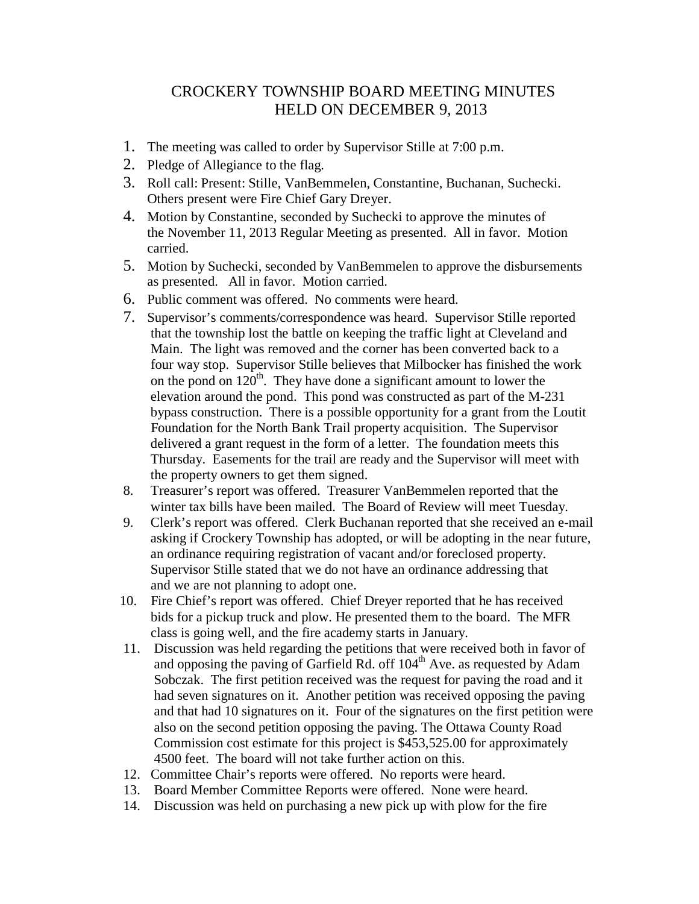## CROCKERY TOWNSHIP BOARD MEETING MINUTES HELD ON DECEMBER 9, 2013

- 1. The meeting was called to order by Supervisor Stille at 7:00 p.m.
- 2. Pledge of Allegiance to the flag.
- 3. Roll call: Present: Stille, VanBemmelen, Constantine, Buchanan, Suchecki. Others present were Fire Chief Gary Dreyer.
- 4. Motion by Constantine, seconded by Suchecki to approve the minutes of the November 11, 2013 Regular Meeting as presented. All in favor. Motion carried.
- 5. Motion by Suchecki, seconded by VanBemmelen to approve the disbursements as presented. All in favor. Motion carried.
- 6. Public comment was offered. No comments were heard.
- 7. Supervisor's comments/correspondence was heard. Supervisor Stille reported that the township lost the battle on keeping the traffic light at Cleveland and Main. The light was removed and the corner has been converted back to a four way stop. Supervisor Stille believes that Milbocker has finished the work on the pond on  $120<sup>th</sup>$ . They have done a significant amount to lower the elevation around the pond. This pond was constructed as part of the M-231 bypass construction. There is a possible opportunity for a grant from the Loutit Foundation for the North Bank Trail property acquisition. The Supervisor delivered a grant request in the form of a letter. The foundation meets this Thursday. Easements for the trail are ready and the Supervisor will meet with the property owners to get them signed.
- 8. Treasurer's report was offered. Treasurer VanBemmelen reported that the winter tax bills have been mailed. The Board of Review will meet Tuesday.
- 9. Clerk's report was offered. Clerk Buchanan reported that she received an e-mail asking if Crockery Township has adopted, or will be adopting in the near future, an ordinance requiring registration of vacant and/or foreclosed property. Supervisor Stille stated that we do not have an ordinance addressing that and we are not planning to adopt one.
- 10. Fire Chief's report was offered. Chief Dreyer reported that he has received bids for a pickup truck and plow. He presented them to the board. The MFR class is going well, and the fire academy starts in January.
- 11. Discussion was held regarding the petitions that were received both in favor of and opposing the paving of Garfield Rd. off  $104<sup>th</sup>$  Ave. as requested by Adam Sobczak. The first petition received was the request for paving the road and it had seven signatures on it. Another petition was received opposing the paving and that had 10 signatures on it. Four of the signatures on the first petition were also on the second petition opposing the paving. The Ottawa County Road Commission cost estimate for this project is \$453,525.00 for approximately 4500 feet. The board will not take further action on this.
- 12. Committee Chair's reports were offered. No reports were heard.
- 13. Board Member Committee Reports were offered. None were heard.
- 14. Discussion was held on purchasing a new pick up with plow for the fire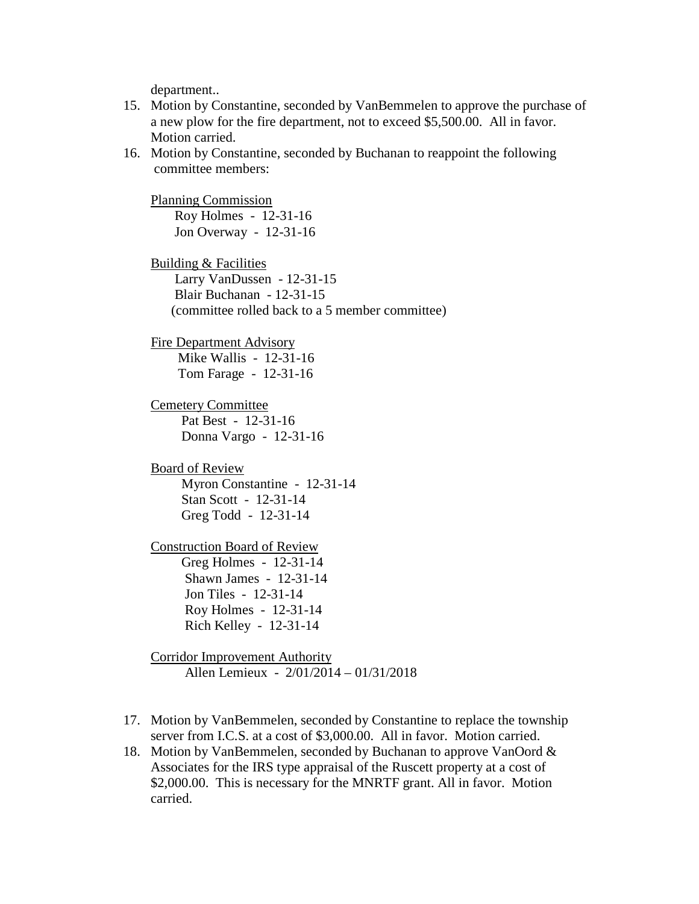department..

- 15. Motion by Constantine, seconded by VanBemmelen to approve the purchase of a new plow for the fire department, not to exceed \$5,500.00. All in favor. Motion carried.
- 16. Motion by Constantine, seconded by Buchanan to reappoint the following committee members:

 Planning Commission Roy Holmes - 12-31-16 Jon Overway - 12-31-16

 Building & Facilities Larry VanDussen - 12-31-15 Blair Buchanan - 12-31-15 (committee rolled back to a 5 member committee)

 Fire Department Advisory Mike Wallis - 12-31-16

Tom Farage - 12-31-16

 Cemetery Committee Pat Best - 12-31-16 Donna Vargo - 12-31-16

 Board of Review Myron Constantine - 12-31-14 Stan Scott - 12-31-14 Greg Todd - 12-31-14

 Construction Board of Review Greg Holmes - 12-31-14 Shawn James - 12-31-14 Jon Tiles - 12-31-14

> Roy Holmes - 12-31-14 Rich Kelley - 12-31-14

 Corridor Improvement Authority Allen Lemieux - 2/01/2014 – 01/31/2018

- 17. Motion by VanBemmelen, seconded by Constantine to replace the township server from I.C.S. at a cost of \$3,000.00. All in favor. Motion carried.
- 18. Motion by VanBemmelen, seconded by Buchanan to approve VanOord & Associates for the IRS type appraisal of the Ruscett property at a cost of \$2,000.00. This is necessary for the MNRTF grant. All in favor. Motion carried.